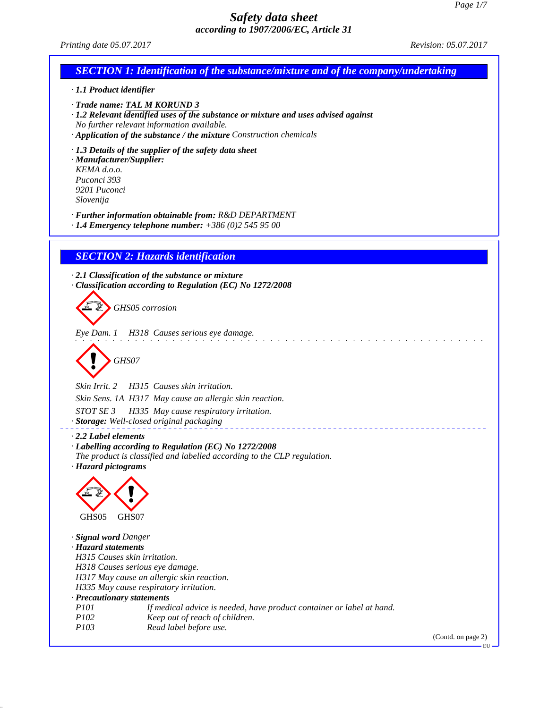| Printing date 05.07.2017                                                                                                                                                                                                                 | <i>Revision: 05.07.2017</i> |
|------------------------------------------------------------------------------------------------------------------------------------------------------------------------------------------------------------------------------------------|-----------------------------|
| <b>SECTION 1: Identification of the substance/mixture and of the company/undertaking</b>                                                                                                                                                 |                             |
| · 1.1 Product identifier                                                                                                                                                                                                                 |                             |
| · Trade name: TAL M KORUND 3<br>· 1.2 Relevant identified uses of the substance or mixture and uses advised against<br>No further relevant information available.<br>· Application of the substance / the mixture Construction chemicals |                             |
| $\cdot$ 1.3 Details of the supplier of the safety data sheet<br>· Manufacturer/Supplier:<br>KEMA d.o.o.<br>Puconci 393<br>9201 Puconci<br>Slovenija                                                                                      |                             |
| · Further information obtainable from: R&D DEPARTMENT<br>$\cdot$ 1.4 Emergency telephone number: $+386(0)25459500$                                                                                                                       |                             |
| <b>SECTION 2: Hazards identification</b>                                                                                                                                                                                                 |                             |
| $\cdot$ 2.1 Classification of the substance or mixture<br>Classification according to Regulation (EC) No 1272/2008<br>GHS05 corrosion                                                                                                    |                             |
| Eye Dam. 1 H318 Causes serious eye damage.<br>GHS07                                                                                                                                                                                      |                             |
| Skin Irrit. 2<br>H315 Causes skin irritation.                                                                                                                                                                                            |                             |
| Skin Sens. 1A H317 May cause an allergic skin reaction.                                                                                                                                                                                  |                             |
| STOT SE 3<br>H335 May cause respiratory irritation.<br>· Storage: Well-closed original packaging                                                                                                                                         |                             |
| $\cdot$ 2.2 Label elements<br>· Labelling according to Regulation (EC) No 1272/2008<br>The product is classified and labelled according to the CLP regulation.<br>· Hazard pictograms                                                    |                             |
| GHS05<br>GHS07                                                                                                                                                                                                                           |                             |
| · Signal word Danger<br>· Hazard statements                                                                                                                                                                                              |                             |
| H315 Causes skin irritation.                                                                                                                                                                                                             |                             |
| H318 Causes serious eye damage.                                                                                                                                                                                                          |                             |
| H317 May cause an allergic skin reaction.<br>H335 May cause respiratory irritation.                                                                                                                                                      |                             |
| · Precautionary statements                                                                                                                                                                                                               |                             |
| <i>P101</i><br>If medical advice is needed, have product container or label at hand.<br>P102<br>Keep out of reach of children.                                                                                                           |                             |
| P <sub>103</sub><br>Read label before use.                                                                                                                                                                                               | (Contd. on page 2)          |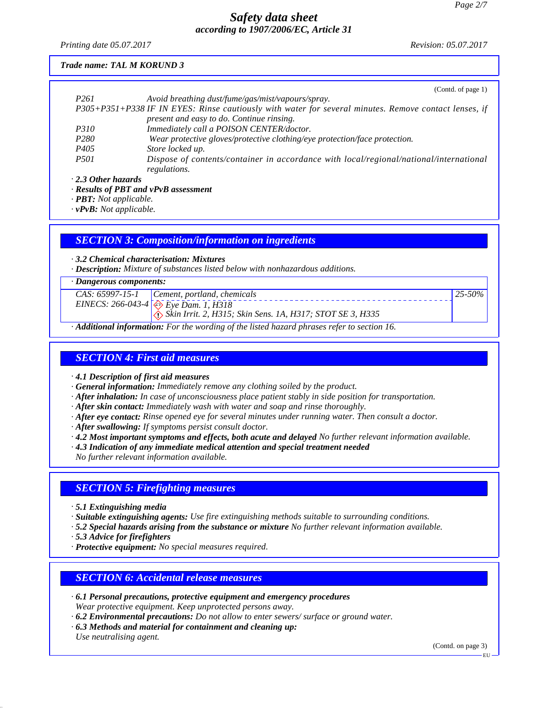*Printing date 05.07.2017 Revision: 05.07.2017*

### *Trade name: TAL M KORUND 3*

|                           | (Contd. of page 1)                                                                                    |
|---------------------------|-------------------------------------------------------------------------------------------------------|
| P <sub>261</sub>          | Avoid breathing dust/fume/gas/mist/vapours/spray.                                                     |
|                           | P305+P351+P338 IF IN EYES: Rinse cautiously with water for several minutes. Remove contact lenses, if |
|                           | present and easy to do. Continue rinsing.                                                             |
| <i>P310</i>               | Immediately call a POISON CENTER/doctor.                                                              |
| P <sub>280</sub>          | Wear protective gloves/protective clothing/eye protection/face protection.                            |
| P <sub>405</sub>          | Store locked up.                                                                                      |
| <i>P501</i>               | Dispose of contents/container in accordance with local/regional/national/international                |
|                           | regulations.                                                                                          |
| $\cdot$ 2.3 Other hazards |                                                                                                       |
|                           | $\mathbf{n}$ <i>to construct to measure the measure form</i>                                          |

*· Results of PBT and vPvB assessment*

*· PBT: Not applicable.*

*· vPvB: Not applicable.*

### *SECTION 3: Composition/information on ingredients*

*· 3.2 Chemical characterisation: Mixtures*

*· Description: Mixture of substances listed below with nonhazardous additions.*

#### *· Dangerous components:*

|   | $CAS: 65997-15-1$ Cement, portland, chemicals                                     | $25 - 50\%$ |
|---|-----------------------------------------------------------------------------------|-------------|
|   | EINECS: 266-043-4 $\otimes$ Eye Dam. 1, H318                                      |             |
|   | $\langle \cdot \rangle$ Skin Irrit. 2, H315; Skin Sens. 1A, H317; STOT SE 3, H335 |             |
| . |                                                                                   |             |

*· Additional information: For the wording of the listed hazard phrases refer to section 16.*

# *SECTION 4: First aid measures*

*· 4.1 Description of first aid measures*

- *· General information: Immediately remove any clothing soiled by the product.*
- *· After inhalation: In case of unconsciousness place patient stably in side position for transportation.*
- *· After skin contact: Immediately wash with water and soap and rinse thoroughly.*
- *· After eye contact: Rinse opened eye for several minutes under running water. Then consult a doctor.*
- *· After swallowing: If symptoms persist consult doctor.*
- *· 4.2 Most important symptoms and effects, both acute and delayed No further relevant information available.*
- *· 4.3 Indication of any immediate medical attention and special treatment needed*

*No further relevant information available.*

# *SECTION 5: Firefighting measures*

*· 5.1 Extinguishing media*

*· Suitable extinguishing agents: Use fire extinguishing methods suitable to surrounding conditions.*

- *· 5.2 Special hazards arising from the substance or mixture No further relevant information available.*
- *· 5.3 Advice for firefighters*
- *· Protective equipment: No special measures required.*

# *SECTION 6: Accidental release measures*

- *· 6.1 Personal precautions, protective equipment and emergency procedures Wear protective equipment. Keep unprotected persons away.*
- *· 6.2 Environmental precautions: Do not allow to enter sewers/ surface or ground water.*
- *· 6.3 Methods and material for containment and cleaning up: Use neutralising agent.*

(Contd. on page 3)

EU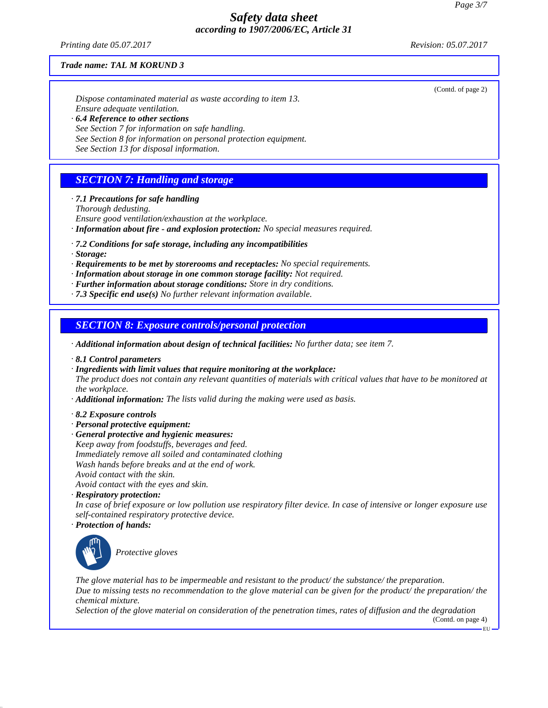*Printing date 05.07.2017 Revision: 05.07.2017*

(Contd. of page 2)

#### *Trade name: TAL M KORUND 3*

*Dispose contaminated material as waste according to item 13. Ensure adequate ventilation. · 6.4 Reference to other sections See Section 7 for information on safe handling.*

*See Section 8 for information on personal protection equipment.*

*See Section 13 for disposal information.*

# *SECTION 7: Handling and storage*

*· 7.1 Precautions for safe handling*

*Thorough dedusting.*

*Ensure good ventilation/exhaustion at the workplace.*

- *· Information about fire and explosion protection: No special measures required.*
- *· 7.2 Conditions for safe storage, including any incompatibilities*
- *· Storage:*
- *· Requirements to be met by storerooms and receptacles: No special requirements.*
- *· Information about storage in one common storage facility: Not required.*
- *· Further information about storage conditions: Store in dry conditions.*
- *· 7.3 Specific end use(s) No further relevant information available.*

### *SECTION 8: Exposure controls/personal protection*

*· Additional information about design of technical facilities: No further data; see item 7.*

- *· 8.1 Control parameters*
- *· Ingredients with limit values that require monitoring at the workplace:*

*The product does not contain any relevant quantities of materials with critical values that have to be monitored at the workplace.*

- *· Additional information: The lists valid during the making were used as basis.*
- *· 8.2 Exposure controls*
- *· Personal protective equipment:*
- *· General protective and hygienic measures:*
- *Keep away from foodstuffs, beverages and feed. Immediately remove all soiled and contaminated clothing Wash hands before breaks and at the end of work. Avoid contact with the skin. Avoid contact with the eyes and skin.*
- *· Respiratory protection:*

*In case of brief exposure or low pollution use respiratory filter device. In case of intensive or longer exposure use self-contained respiratory protective device.*

*· Protection of hands:*



\_S*Protective gloves*

*The glove material has to be impermeable and resistant to the product/ the substance/ the preparation. Due to missing tests no recommendation to the glove material can be given for the product/ the preparation/ the chemical mixture.*

*Selection of the glove material on consideration of the penetration times, rates of diffusion and the degradation*

(Contd. on page 4) EU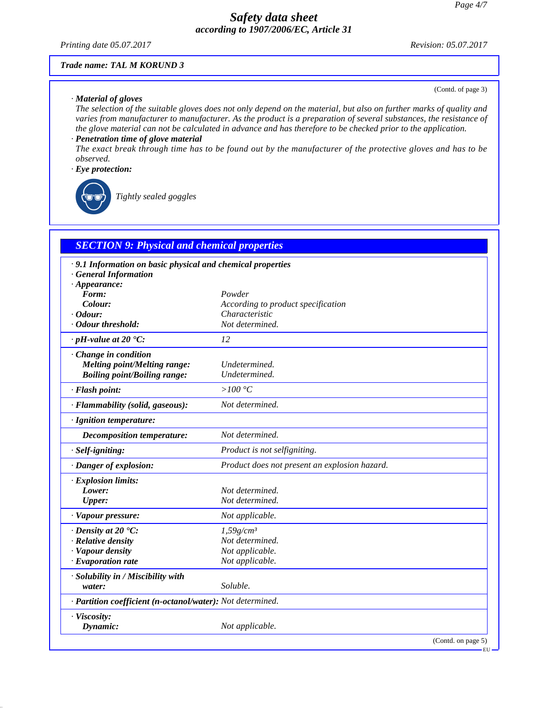*Printing date 05.07.2017 Revision: 05.07.2017*

(Contd. of page 3)

#### *Trade name: TAL M KORUND 3*

#### *· Material of gloves*

*The selection of the suitable gloves does not only depend on the material, but also on further marks of quality and varies from manufacturer to manufacturer. As the product is a preparation of several substances, the resistance of the glove material can not be calculated in advance and has therefore to be checked prior to the application.*

#### *· Penetration time of glove material*

*The exact break through time has to be found out by the manufacturer of the protective gloves and has to be observed.*

#### *· Eye protection:*

\_R*Tightly sealed goggles*

# *SECTION 9: Physical and chemical properties*

| .9.1 Information on basic physical and chemical properties |                                               |
|------------------------------------------------------------|-----------------------------------------------|
| <b>General Information</b>                                 |                                               |
| $\cdot$ Appearance:<br>Form:                               | Powder                                        |
| Colour:                                                    | According to product specification            |
| $\cdot$ Odour:                                             | Characteristic                                |
| · Odour threshold:                                         | Not determined.                               |
| $\cdot$ pH-value at 20 $\textdegree$ C:                    | 12                                            |
| Change in condition                                        |                                               |
| <b>Melting point/Melting range:</b>                        | Undetermined.                                 |
| <b>Boiling point/Boiling range:</b>                        | Undetermined.                                 |
|                                                            |                                               |
| · Flash point:                                             | > $100 °C$                                    |
| · Flammability (solid, gaseous):                           | Not determined.                               |
| · Ignition temperature:                                    |                                               |
| <b>Decomposition temperature:</b>                          | Not determined.                               |
| · Self-igniting:                                           | Product is not selfigniting.                  |
| · Danger of explosion:                                     | Product does not present an explosion hazard. |
| · Explosion limits:                                        |                                               |
| Lower:                                                     | Not determined.                               |
| <b>Upper:</b>                                              | Not determined.                               |
| · Vapour pressure:                                         | Not applicable.                               |
| $\cdot$ Density at 20 $\degree$ C:                         | $1,59g/cm^3$                                  |
| · Relative density                                         | Not determined.                               |
| · Vapour density                                           | Not applicable.                               |
| $\cdot$ Evaporation rate                                   | Not applicable.                               |
| · Solubility in / Miscibility with                         |                                               |
| water:                                                     | Soluble.                                      |
| · Partition coefficient (n-octanol/water): Not determined. |                                               |
| · Viscosity:                                               |                                               |
| Dynamic:                                                   | Not applicable.                               |
|                                                            | (Contd. on page 5)                            |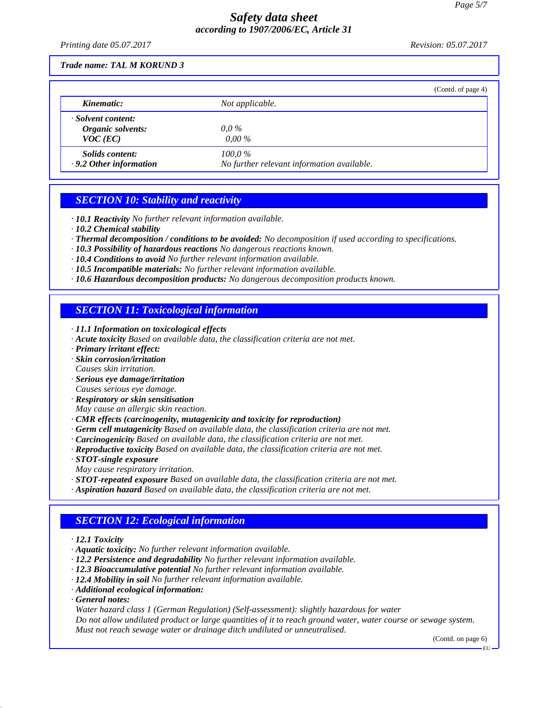*Printing date 05.07.2017 Revision: 05.07.2017*

#### *Trade name: TAL M KORUND 3*

|                                                         | (Contd. of page 4)                                      |
|---------------------------------------------------------|---------------------------------------------------------|
| Kinematic:                                              | Not applicable.                                         |
| · Solvent content:<br>Organic solvents:<br>$VOC$ (EC)   | $0.0\,\%$<br>$0.00\%$                                   |
| <i>Solids content:</i><br>$\cdot$ 9.2 Other information | $100.0\%$<br>No further relevant information available. |

### *SECTION 10: Stability and reactivity*

- *· 10.1 Reactivity No further relevant information available.*
- *· 10.2 Chemical stability*
- *· Thermal decomposition / conditions to be avoided: No decomposition if used according to specifications.*
- *· 10.3 Possibility of hazardous reactions No dangerous reactions known.*
- *· 10.4 Conditions to avoid No further relevant information available.*
- *· 10.5 Incompatible materials: No further relevant information available.*
- *· 10.6 Hazardous decomposition products: No dangerous decomposition products known.*

### *SECTION 11: Toxicological information*

- *· 11.1 Information on toxicological effects*
- *· Acute toxicity Based on available data, the classification criteria are not met.*
- *· Primary irritant effect:*
- *· Skin corrosion/irritation*
- *Causes skin irritation.*
- *· Serious eye damage/irritation Causes serious eye damage.*
- *· Respiratory or skin sensitisation*
- *May cause an allergic skin reaction.*
- *· CMR effects (carcinogenity, mutagenicity and toxicity for reproduction)*
- *· Germ cell mutagenicity Based on available data, the classification criteria are not met.*
- *· Carcinogenicity Based on available data, the classification criteria are not met.*
- *· Reproductive toxicity Based on available data, the classification criteria are not met.*
- *· STOT-single exposure*
- *May cause respiratory irritation.*
- *· STOT-repeated exposure Based on available data, the classification criteria are not met.*
- *· Aspiration hazard Based on available data, the classification criteria are not met.*

# *SECTION 12: Ecological information*

- *· 12.1 Toxicity*
- *· Aquatic toxicity: No further relevant information available.*
- *· 12.2 Persistence and degradability No further relevant information available.*
- *· 12.3 Bioaccumulative potential No further relevant information available.*
- *· 12.4 Mobility in soil No further relevant information available.*
- *· Additional ecological information:*
- *· General notes:*

*Water hazard class 1 (German Regulation) (Self-assessment): slightly hazardous for water Do not allow undiluted product or large quantities of it to reach ground water, water course or sewage system. Must not reach sewage water or drainage ditch undiluted or unneutralised.*

(Contd. on page 6)

**EU**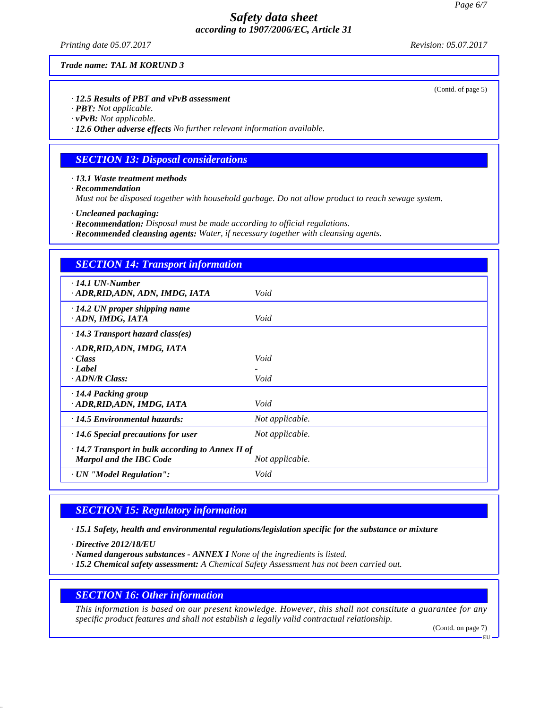*Printing date 05.07.2017 Revision: 05.07.2017*

(Contd. of page 5)

#### *Trade name: TAL M KORUND 3*

*· 12.5 Results of PBT and vPvB assessment*

*· PBT: Not applicable.*

*· vPvB: Not applicable.*

*· 12.6 Other adverse effects No further relevant information available.*

### *SECTION 13: Disposal considerations*

*· 13.1 Waste treatment methods*

*· Recommendation*

*Must not be disposed together with household garbage. Do not allow product to reach sewage system.*

*· Uncleaned packaging:*

- *· Recommendation: Disposal must be made according to official regulations.*
- *· Recommended cleansing agents: Water, if necessary together with cleansing agents.*

| <b>SECTION 14: Transport information</b>                                                                     |                 |
|--------------------------------------------------------------------------------------------------------------|-----------------|
| $\cdot$ 14.1 UN-Number<br>· ADR,RID,ADN, ADN, IMDG, IATA                                                     | Void            |
| $\cdot$ 14.2 UN proper shipping name<br>· ADN, IMDG, IATA                                                    | Void            |
| $\cdot$ 14.3 Transport hazard class(es)                                                                      |                 |
| · ADR, RID, ADN, IMDG, IATA<br>$\cdot$ Class<br>$\cdot$ <i>Label</i><br>$\cdot$ ADN/R Class:                 | Void<br>Void    |
| $\cdot$ 14.4 Packing group<br>· ADR, RID, ADN, IMDG, IATA                                                    | Void            |
| $\cdot$ 14.5 Environmental hazards:                                                                          | Not applicable. |
| $\cdot$ 14.6 Special precautions for user                                                                    | Not applicable. |
| $\cdot$ 14.7 Transport in bulk according to Annex II of<br><b>Marpol and the IBC Code</b><br>Not applicable. |                 |
| · UN "Model Regulation":                                                                                     | Void            |

### *SECTION 15: Regulatory information*

*· 15.1 Safety, health and environmental regulations/legislation specific for the substance or mixture*

*· Directive 2012/18/EU*

*· Named dangerous substances - ANNEX I None of the ingredients is listed.*

*· 15.2 Chemical safety assessment: A Chemical Safety Assessment has not been carried out.*

#### *SECTION 16: Other information*

*This information is based on our present knowledge. However, this shall not constitute a guarantee for any specific product features and shall not establish a legally valid contractual relationship.*

(Contd. on page 7)

EU